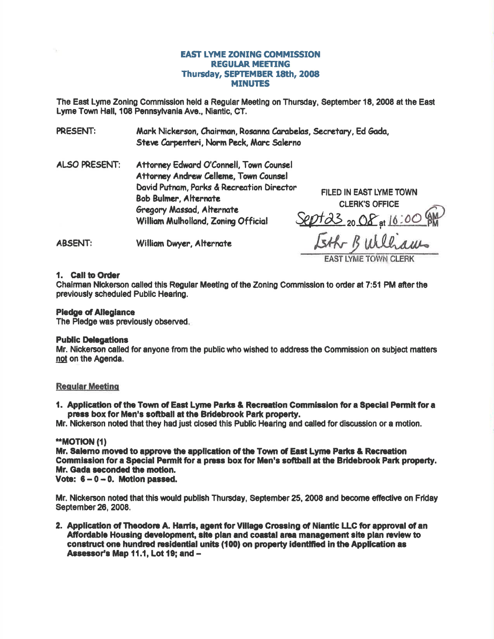# **EAST LYME ZONING COMMISSION REGULAR MEETING** Thursday, SEPTEMBER 18th, 2008 **MINUTES**

The East Lyme Zoning Commission held a Regular Meeting on Thursday, September 18, 2008 at the East Lyme Town Hall, 108 Pennsylvania Ave., Niantic, CT.

**PRESENT:** Mark Nickerson, Chairman, Rosanna Carabelas, Secretary, Ed Gada, Steve Carpenteri, Norm Peck, Marc Salerno

**ALSO PRESENT:** Attorney Edward O'Connell, Town Counsel Attorney Andrew Celleme, Town Counsel David Putnam, Parks & Recreation Director **Bob Bulmer, Alternate** Gregory Massad, Alternate William Mulholland, Zoning Official

**FILED IN EAST LYME TOWN CLERK'S OFFICE** Sept 23 20 Of at 10:00 g Eth Bulliams

**ABSENT:** William Dwyer, Alternate

#### 1. Call to Order

Chairman Nickerson called this Regular Meeting of the Zoning Commission to order at 7:51 PM after the previously scheduled Public Hearing.

#### **Pledge of Allegiance**

The Pledge was previously observed.

#### **Public Delegations**

Mr. Nickerson called for anyone from the public who wished to address the Commission on subject matters not on the Agenda.

# **Regular Meeting**

1. Application of the Town of East Lyme Parks & Recreation Commission for a Special Permit for a press box for Men's softball at the Bridebrook Park property.

Mr. Nickerson noted that they had just closed this Public Hearing and called for discussion or a motion.

# **\*\*MOTION (1)**

Mr. Salemo moved to approve the application of the Town of East Lyme Parks & Recreation Commission for a Special Permit for a press box for Men's softball at the Bridebrook Park property. Mr. Gada seconded the motion.

Vote:  $6 - 0 - 0$ . Motion passed.

Mr. Nickerson noted that this would publish Thursday, September 25, 2008 and become effective on Friday September 26, 2008.

2. Application of Theodore A. Harris, agent for Village Crossing of Niantic LLC for approval of an Affordable Housing development, site plan and coastal area management site plan review to construct one hundred residential units (100) on property identified in the Application as Assessor's Map 11.1, Lot 19; and -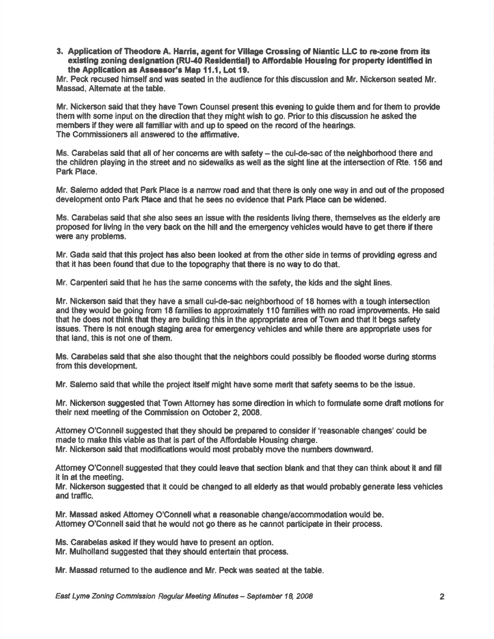3. Application of Theodore A. Harris, agent for Village Crossing of Niantic LLC to re-zone from its existing zoning designation (RU-40 Residential) to Affordable Housing for property identified in the Application as Assessor's Map 11.1, Lot 19.

Mr. Peck recused himself and was seated in the audience for this discussion and Mr. Nickerson seated Mr. Massad, Alternate at the table.

Mr. Nickerson said that they have Town Counsel present this evening to guide them and for them to provide them with some input on the direction that they might wish to go. Prior to this discussion he asked the members if they were all familiar with and up to speed on the record of the hearings. The Commissioners all answered to the affirmative.

Ms. Carabelas said that all of her concerns are with safety – the cul-de-sac of the neighborhood there and the children playing in the street and no sidewalks as well as the slght line at the intersecilion of Rte. 156 and Park Place.

Mr. Salemo edded that Part Place ls a narow road and that there is only one way in and out of the proposed development onto Park Place and that he sees no evidence that Park Place can be widened.

Ms. Carabelas said that she also sees an issue with the residents living there, themselves as the elderly are proposed for living in the very back on the hill and the emergency vehicles would have to get there if there were any problems.

Mr. Gada said that this project has also been looked at from the other side in terms of providing egress and that it has been found that due to the topography that there is no way to do that.

Mr. Carpenteri said that he has the same concems with the safety, the kids and the sight lines.

Mr. Nickerson said that they have a small cul-de-sac neighborhood of 18 homes with a tough intersection and they would be going from 18 families to approximately 110 families with no road improvements. He said that he does not think that they are building this in the appropriate area of Town and that it begs safety issues. There ls not enough staging erea for emergency vehldes and while there are appropriate uses for that land, this is not one of them.

Ms. Carabelas said that she also thought that the neighbors could possibly be flooded worse during storms from this development.

Mr. Salemo said that while the project itself might have some merit that safety seems to be the issue.

Mr. Nickerson suggested that Town Attorney has some direction in which to formulate some draft motions for their next meeting of the Commission on October 2, 2008.

Attomey O'Connell suggested that they should be prepared to conslder if 'reasonable changes'could be made to make this viable as that is part of the Affordable Housing charge.

Mr. Nickerson sald that modificatlons would most probably mwe the numbers downward.

Attorney O'Connell suggested that they could leave that section blank and that they can think about it and fill it in at the meeting.

Mr. Nickerson suggested that it could be changed to all elderly as that would probably generate less vehicles and traffic.

Mr. Massad asked Attomey O'Connsllwhat a reasonable change/accommodation would be. Attomey O'Connell said that he would not go there as he cannot participate in their process.

Ms. Carabelas asked if they would have to present an option.

Mr. Mulholland suggested that they should entertain that process.

Mr. Massad retumed to the audlenoe and Mr. Peckwas seated at the table.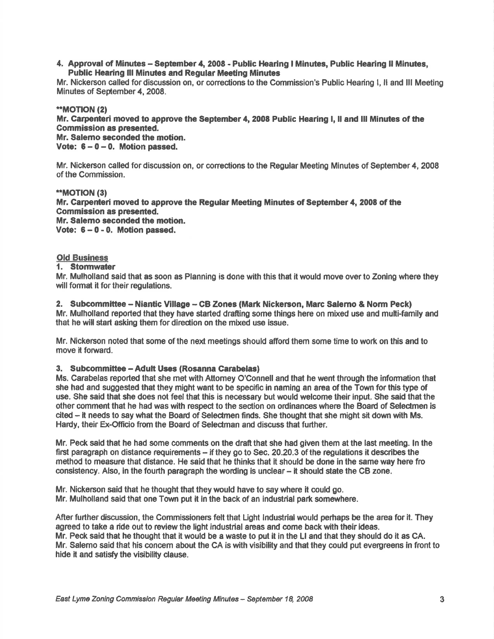#### 4. Approval of Minutes - September 4, 2008 - Public Hearing I Minutes, Public Hearing II Minutes, Public Hearing lll Minutes and Regular Meeting Minutes

Mr. Nickerson called fordiscussion on, or corectionsto the Commission's Public Hearing l, ll and lll Meeting Minutes of September 4, 2008.

# \*\*MOTION (2)

Mr. Carpenteri moved to approve the September 4, 2008 Public Hearing I, ll and lll Minutes of the Commission as presented.

Mr. Salemo seconded the motion.

Vote:  $6 - 0 - 0$ . Motion passed.

Mf. Nickerson called for discussion on, or conec{ions to the Regular Meeting Minutes of September 4, 2008 of the Commission.

#### \*\*MOTION (3)

Mr. Garpenteri moved to apprcve the Regular Meeting Minutes of \$eptember 4, 2008 of the Commission as presented. Mr. Salemo seconded the motion. Vote:  $6 - 0 - 0$ . Motion passed.

# Old Business

# 1. Stormwater

Mr. Mulholland said that es soon as Planning is done with this that it would move over to Zoning where they will format it for their regulations.

2. Subcommittee - Niantic Village - CB Zones (Mark Nickerson, Marc Salerno & Norm Peck) Mr. Mulholland reported that they have started drafting some things here on mixed use and multi-family and that he will start asking them for direction on the mixed use issue.

Mr. Nickerson noted that some of the next meetings should afford them some time to work on this and to move it forward.

# 3. Subcommittee – Adult Uses (Rosanna Carabelas)

Ms. Carabelas reported that she met with Attomey O'Connell and that he went through the infomation thet she had and suggested that they might want to be specific in naming an area of the Town for this type of use. She said that she does not feel that this is necessary but would welcome their input. She said that the other comment that he had was with respect to the section on odinances where the Board of Selectmen is cited - it needs to say what the Board of Seledmen finds. She thought that she might sit down with Ms. Hardy, their Ex-Officio from the Board of Selectman and discuss that further.

Mr. Peck said that he had some comments on the draftthat she had given them at the last meeting. ln the first paragraph on distance requirements - if they go to Sec. 20.20.3 of the regulations it describes the method to measure that distance. He said that he thinks that it should be done in the same way here fro consistency. Also, in the fourth paragraph the woding is unclear - it should state the CB zone.

Mr. Nickerson said that he thought that they would have to say where it could go. Mr. Mulholland said that one Town put it in the back of an industrial park somewhere.

After further discussion, the Commissioners felt that Light Industrial would perhaps be the area for it. They agreed to take a ride out to review the light industrial areas and come back with their ideas. Mr. Peck said that he thought that it would be a waste to put it in the Ll and that they should do it as CA. Mr. Salemo said that his concem about the CA is with visibility and that they could put evergreens in front to hide it and satisfy the visibility clause.